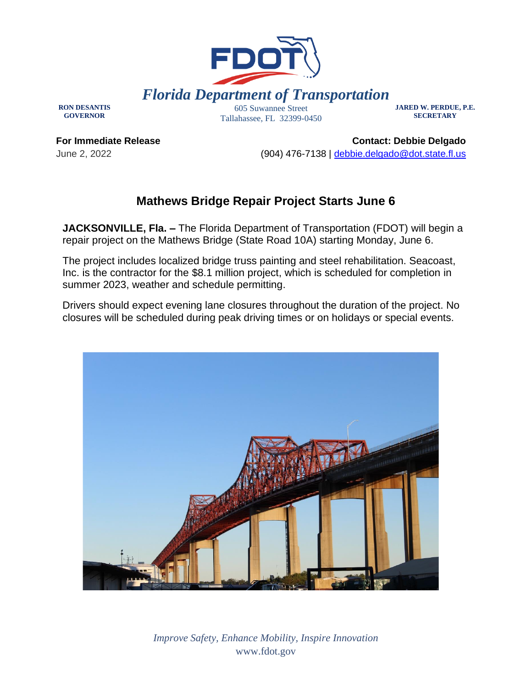

**RON DESANTIS GOVERNOR**

Tallahassee, FL 32399-0450

**JARED W. PERDUE, P.E. SECRETARY**

**For Immediate Release** June 2, 2022

**Contact: Debbie Delgado** (904) 476-7138 | [debbie.delgado@dot.state.fl.us](mailto:debbie.delgado@dot.state.fl.us) 

## **Mathews Bridge Repair Project Starts June 6**

**JACKSONVILLE, Fla. –** The Florida Department of Transportation (FDOT) will begin a repair project on the Mathews Bridge (State Road 10A) starting Monday, June 6.

The project includes localized bridge truss painting and steel rehabilitation. Seacoast, Inc. is the contractor for the \$8.1 million project, which is scheduled for completion in summer 2023, weather and schedule permitting.

Drivers should expect evening lane closures throughout the duration of the project. No closures will be scheduled during peak driving times or on holidays or special events.



*Improve Safety, Enhance Mobility, Inspire Innovation* www.fdot.gov